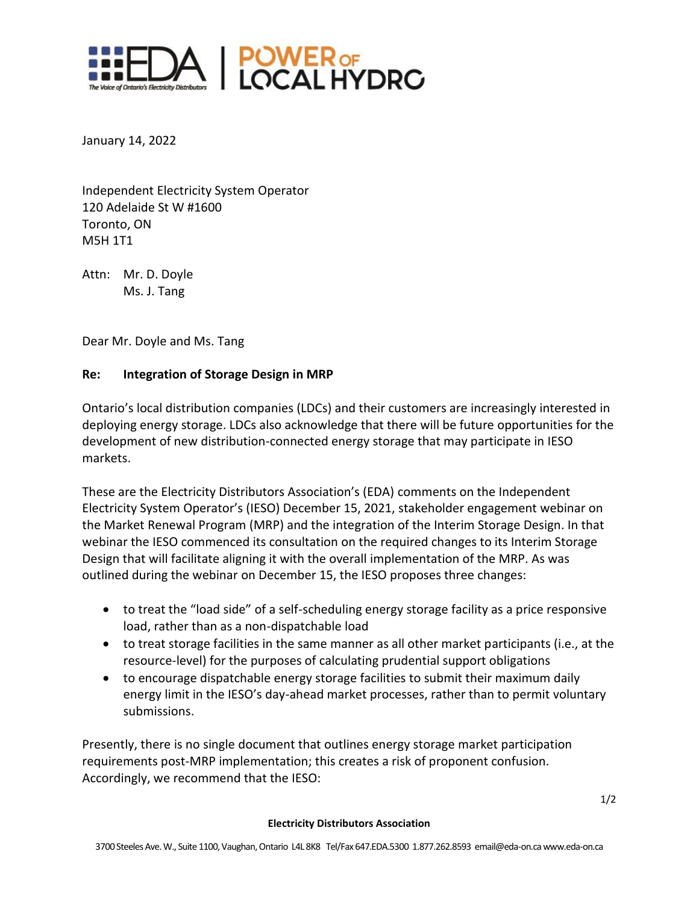

January 14, 2022

Independent Electricity System Operator 120 Adelaide St W #1600 Toronto, ON M5H 1T1

Attn: Mr. D. Doyle Ms. J. Tang

Dear Mr. Doyle and Ms. Tang

## **Re: Integration of Storage Design in MRP**

Ontario's local distribution companies (LDCs) and their customers are increasingly interested in deploying energy storage. LDCs also acknowledge that there will be future opportunities for the development of new distribution-connected energy storage that may participate in IESO markets.

These are the Electricity Distributors Association's (EDA) comments on the Independent Electricity System Operator's (IESO) December 15, 2021, stakeholder engagement webinar on the Market Renewal Program (MRP) and the integration of the Interim Storage Design. In that webinar the IESO commenced its consultation on the required changes to its Interim Storage Design that will facilitate aligning it with the overall implementation of the MRP. As was outlined during the webinar on December 15, the IESO proposes three changes:

- to treat the "load side" of a self-scheduling energy storage facility as a price responsive load, rather than as a non-dispatchable load
- to treat storage facilities in the same manner as all other market participants (i.e., at the resource-level) for the purposes of calculating prudential support obligations
- to encourage dispatchable energy storage facilities to submit their maximum daily energy limit in the IESO's day-ahead market processes, rather than to permit voluntary submissions.

Presently, there is no single document that outlines energy storage market participation requirements post-MRP implementation; this creates a risk of proponent confusion. Accordingly, we recommend that the IESO:

## **Electricity Distributors Association**